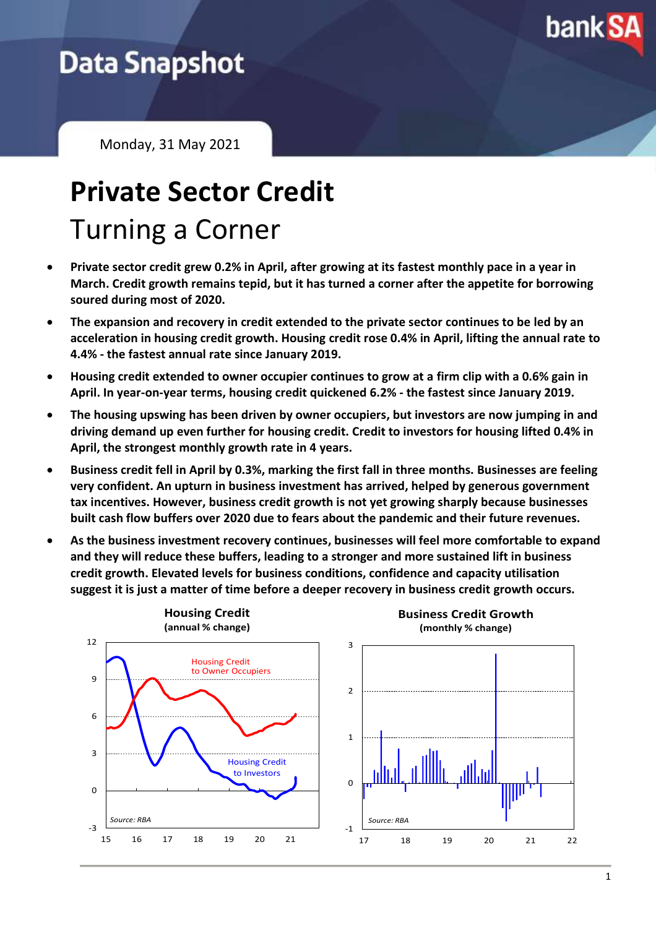

## **Data Snapshot**

Monday, 31 May 2021

## **Private Sector Credit** Turning a Corner

- **Private sector credit grew 0.2% in April, after growing at its fastest monthly pace in a year in March. Credit growth remains tepid, but it has turned a corner after the appetite for borrowing soured during most of 2020.**
- **The expansion and recovery in credit extended to the private sector continues to be led by an acceleration in housing credit growth. Housing credit rose 0.4% in April, lifting the annual rate to 4.4% - the fastest annual rate since January 2019.**
- **Housing credit extended to owner occupier continues to grow at a firm clip with a 0.6% gain in April. In year-on-year terms, housing credit quickened 6.2% - the fastest since January 2019.**
- **The housing upswing has been driven by owner occupiers, but investors are now jumping in and driving demand up even further for housing credit. Credit to investors for housing lifted 0.4% in April, the strongest monthly growth rate in 4 years.**
- **Business credit fell in April by 0.3%, marking the first fall in three months. Businesses are feeling very confident. An upturn in business investment has arrived, helped by generous government tax incentives. However, business credit growth is not yet growing sharply because businesses built cash flow buffers over 2020 due to fears about the pandemic and their future revenues.**
- **As the business investment recovery continues, businesses will feel more comfortable to expand and they will reduce these buffers, leading to a stronger and more sustained lift in business credit growth. Elevated levels for business conditions, confidence and capacity utilisation suggest it is just a matter of time before a deeper recovery in business credit growth occurs.**

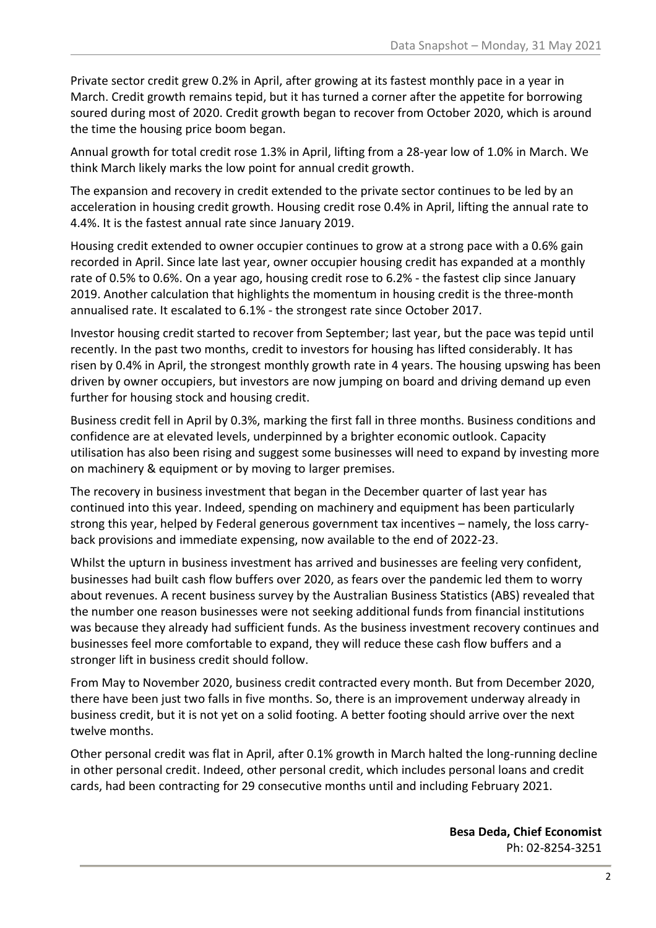Private sector credit grew 0.2% in April, after growing at its fastest monthly pace in a year in March. Credit growth remains tepid, but it has turned a corner after the appetite for borrowing soured during most of 2020. Credit growth began to recover from October 2020, which is around the time the housing price boom began.

Annual growth for total credit rose 1.3% in April, lifting from a 28-year low of 1.0% in March. We think March likely marks the low point for annual credit growth.

The expansion and recovery in credit extended to the private sector continues to be led by an acceleration in housing credit growth. Housing credit rose 0.4% in April, lifting the annual rate to 4.4%. It is the fastest annual rate since January 2019.

Housing credit extended to owner occupier continues to grow at a strong pace with a 0.6% gain recorded in April. Since late last year, owner occupier housing credit has expanded at a monthly rate of 0.5% to 0.6%. On a year ago, housing credit rose to 6.2% - the fastest clip since January 2019. Another calculation that highlights the momentum in housing credit is the three-month annualised rate. It escalated to 6.1% - the strongest rate since October 2017.

Investor housing credit started to recover from September; last year, but the pace was tepid until recently. In the past two months, credit to investors for housing has lifted considerably. It has risen by 0.4% in April, the strongest monthly growth rate in 4 years. The housing upswing has been driven by owner occupiers, but investors are now jumping on board and driving demand up even further for housing stock and housing credit.

Business credit fell in April by 0.3%, marking the first fall in three months. Business conditions and confidence are at elevated levels, underpinned by a brighter economic outlook. Capacity utilisation has also been rising and suggest some businesses will need to expand by investing more on machinery & equipment or by moving to larger premises.

The recovery in business investment that began in the December quarter of last year has continued into this year. Indeed, spending on machinery and equipment has been particularly strong this year, helped by Federal generous government tax incentives – namely, the loss carryback provisions and immediate expensing, now available to the end of 2022-23.

Whilst the upturn in business investment has arrived and businesses are feeling very confident, businesses had built cash flow buffers over 2020, as fears over the pandemic led them to worry about revenues. A recent business survey by the Australian Business Statistics (ABS) revealed that the number one reason businesses were not seeking additional funds from financial institutions was because they already had sufficient funds. As the business investment recovery continues and businesses feel more comfortable to expand, they will reduce these cash flow buffers and a stronger lift in business credit should follow.

From May to November 2020, business credit contracted every month. But from December 2020, there have been just two falls in five months. So, there is an improvement underway already in business credit, but it is not yet on a solid footing. A better footing should arrive over the next twelve months.

Other personal credit was flat in April, after 0.1% growth in March halted the long-running decline in other personal credit. Indeed, other personal credit, which includes personal loans and credit cards, had been contracting for 29 consecutive months until and including February 2021.